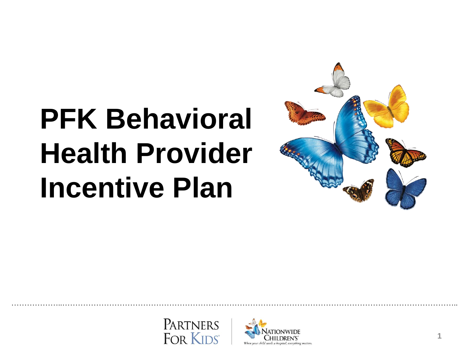# **PFK Behavioral Health Provider Incentive Plan**





………………..……………………………………………………………………………………………………………………………………..

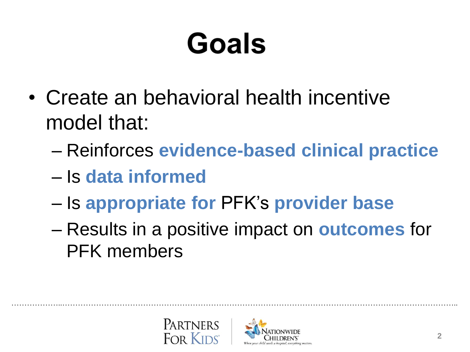# Goals

- Create an behavioral health incentive model that:
	- Reinforces **evidence-based clinical practice**
	- Is **data informed**
	- Is **appropriate for** PFK's **provider base**
	- Results in a positive impact on **outcomes** for PFK members

………………..……………………………………………………………………………………………………………………………………..



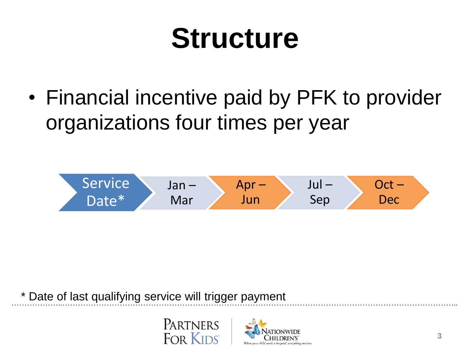### **Structure**

• Financial incentive paid by PFK to provider organizations four times per year



………………..…………………………………………………………………………………………………………………………………….. \* Date of last qualifying service will trigger payment



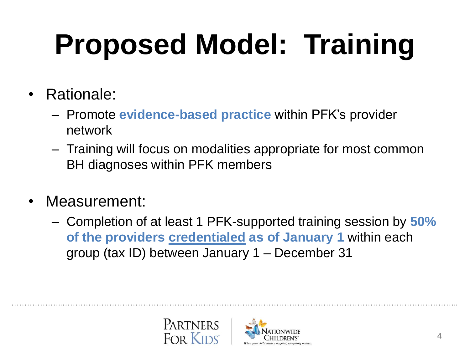# **Proposed Model: Training**

- Rationale:
	- Promote **evidence-based practice** within PFK's provider network
	- Training will focus on modalities appropriate for most common BH diagnoses within PFK members
- Measurement:
	- Completion of at least 1 PFK-supported training session by **50% of the providers credentialed as of January 1** within each group (tax ID) between January 1 – December 31

………………..……………………………………………………………………………………………………………………………………..



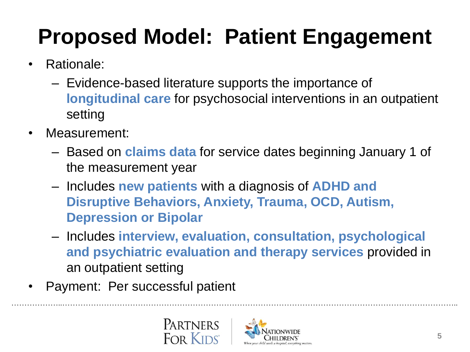### **Proposed Model: Patient Engagement**

- Rationale:
	- Evidence-based literature supports the importance of **longitudinal care** for psychosocial interventions in an outpatient setting
- Measurement:
	- Based on **claims data** for service dates beginning January 1 of the measurement year
	- Includes **new patients** with a diagnosis of **ADHD and Disruptive Behaviors, Anxiety, Trauma, OCD, Autism, Depression or Bipolar**
	- Includes **interview, evaluation, consultation, psychological and psychiatric evaluation and therapy services** provided in an outpatient setting

………………..……………………………………………………………………………………………………………………………………..

• Payment: Per successful patient



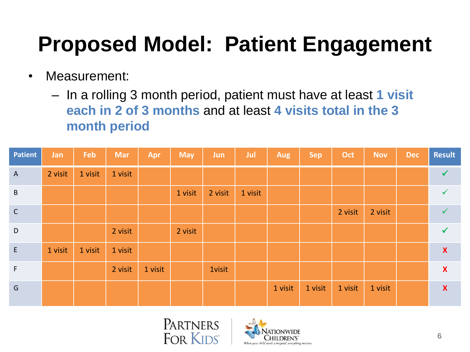#### **Proposed Model: Patient Engagement**

- Measurement:
	- In a rolling 3 month period, patient must have at least **1 visit each in 2 of 3 months** and at least **4 visits total in the 3 month period**

| <b>Patient</b> | Jan     | Feb     | <b>Mar</b> | Apr     | <b>May</b> | <b>Jun</b>    | Jul     | <b>Aug</b> | <b>Sep</b> | Oct     | <b>Nov</b> | <b>Dec</b> | <b>Result</b>             |
|----------------|---------|---------|------------|---------|------------|---------------|---------|------------|------------|---------|------------|------------|---------------------------|
| $\overline{A}$ | 2 visit | 1 visit | 1 visit    |         |            |               |         |            |            |         |            |            | $\checkmark$              |
| $\,$ B         |         |         |            |         | 1 visit    | 2 visit       | 1 visit |            |            |         |            |            |                           |
| $\mathsf{C}$   |         |         |            |         |            |               |         |            |            | 2 visit | 2 visit    |            | $\checkmark$              |
| $\mathsf D$    |         |         | 2 visit    |         | 2 visit    |               |         |            |            |         |            |            |                           |
| $\mathsf E$    | 1 visit | 1 visit | 1 visit    |         |            |               |         |            |            |         |            |            | $\boldsymbol{\mathsf{X}}$ |
| $\mathsf F$    |         |         | 2 visit    | 1 visit |            | <b>1visit</b> |         |            |            |         |            |            | $\boldsymbol{\mathsf{X}}$ |
| G              |         |         |            |         |            |               |         | 1 visit    | 1 visit    | 1 visit | 1 visit    |            | $\boldsymbol{\mathsf{X}}$ |